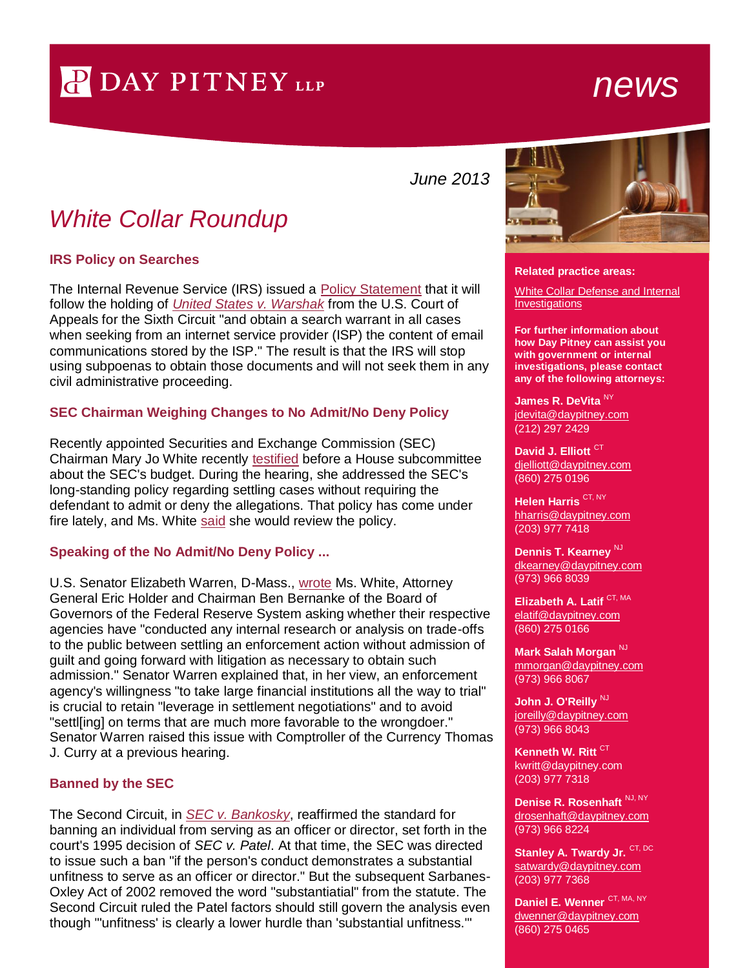# P DAY PITNEY LLP

## *news*

*June 2013*

### *White Collar Roundup*

#### **IRS Policy on Searches**

The Internal Revenue Service (IRS) issued a [Policy Statement](http://www.irs.gov/pub/foia/ig/spder/p-4-120%20final.pdf) that it will follow the holding of *[United States v. Warshak](http://www.ca6.uscourts.gov/opinions.pdf/10a0377p-06.pdf)* from the U.S. Court of Appeals for the Sixth Circuit "and obtain a search warrant in all cases when seeking from an internet service provider (ISP) the content of email communications stored by the ISP." The result is that the IRS will stop using subpoenas to obtain those documents and will not seek them in any civil administrative proceeding.

#### **SEC Chairman Weighing Changes to No Admit/No Deny Policy**

Recently appointed Securities and Exchange Commission (SEC) Chairman Mary Jo White recently [testified](http://www.sec.gov/news/testimony/2013/ts050713mjw.htm) before a House subcommittee about the SEC's budget. During the hearing, she addressed the SEC's long-standing policy regarding settling cases without requiring the defendant to admit or deny the allegations. That policy has come under fire lately, and Ms. White [said](http://bigstory.ap.org/article/sec-chief-review-no-admit-or-deny-policy) she would review the policy.

#### **Speaking of the No Admit/No Deny Policy ...**

U.S. Senator Elizabeth Warren, D-Mass., [wrote](http://www.warren.senate.gov/documents/LtrtoRegulatorsre2-14-13hrg.pdf) Ms. White, Attorney General Eric Holder and Chairman Ben Bernanke of the Board of Governors of the Federal Reserve System asking whether their respective agencies have "conducted any internal research or analysis on trade-offs to the public between settling an enforcement action without admission of guilt and going forward with litigation as necessary to obtain such admission." Senator Warren explained that, in her view, an enforcement agency's willingness "to take large financial institutions all the way to trial" is crucial to retain "leverage in settlement negotiations" and to avoid "settl[ing] on terms that are much more favorable to the wrongdoer." Senator Warren raised this issue with Comptroller of the Currency Thomas J. Curry at a previous hearing.

#### **Banned by the SEC**

The Second Circuit, in *[SEC v. Bankosky](http://www.ca2.uscourts.gov/decisions/isysquery/cc6e20b6-a237-4645-b1d1-b411d7d39e3b/1/doc/12-2943_opn.pdf#xml=http://www.ca2.uscourts.gov/decisions/isysquery/cc6e20b6-a237-4645-b1d1-b411d7d39e3b/1/hilite/)*, reaffirmed the standard for banning an individual from serving as an officer or director, set forth in the court's 1995 decision of *SEC v. Patel*. At that time, the SEC was directed to issue such a ban "if the person's conduct demonstrates a substantial unfitness to serve as an officer or director." But the subsequent Sarbanes-Oxley Act of 2002 removed the word "substantiatial" from the statute. The Second Circuit ruled the Patel factors should still govern the analysis even though "'unfitness' is clearly a lower hurdle than 'substantial unfitness.'"



#### **Related practice areas:**

[White Collar Defense and Internal](http://www.daypitney.com/practices/White-Collar-Defense-and-Internal-Investigations/)  **[Investigations](http://www.daypitney.com/practices/White-Collar-Defense-and-Internal-Investigations/)** 

**For further information about how Day Pitney can assist you with government or internal investigations, please contact any of the following attorneys:**

**[James R. DeVita](http://www.daypitney.com/people/people-detail.aspx?practice=&proID=590)**  $^{\sf NY}$ jdevita@daypitney.com (212) 297 2429

**[David J. Elliott](http://www.daypitney.com/people/people-detail.aspx?practice=&proID=32)** CT djelliott@daypitney.com (860) 275 0196

**[Helen Harris](http://www.daypitney.com/people/people-detail.aspx?practice=&proID=168)** CT, NY hharris@daypitney.com (203) 977 7418

**[Dennis T. Kearney](http://www.daypitney.com/people/people-detail.aspx?practice=&proID=316)** NJ dkearney@daypitney.com (973) 966 8039

**[Elizabeth](http://www.daypitney.com/people/people-detail.aspx?practice=&proID=660) A. Latif** CT, MA elatif@daypitney.com (860) 275 0166

**Mark Salah Morgan NJ** mmorgan@daypitney.com (973) 966 8067

[John J. O'Reilly](http://www.daypitney.com/people/people-detail.aspx?practice=&proID=355)<sup>NJ</sup> joreilly@daypitney.com (973) 966 8043

**Kenneth W. Ritt<sup> CT</sup>** kwritt@daypitney.com (203) 977 7318

**Denise R. Rosenhaft** NJ, NY drosenhaft@daypitney.com (973) 966 8224

**[Stanley A. Twardy Jr.](http://www.daypitney.com/people/people-detail.aspx?practice=&proID=73) CT, DC** satwardy@daypitney.com (203) 977 7368

**[Daniel E. Wenner](http://www.daypitney.com/people/people-detail.aspx?practice=&proID=519)** CT, MA, NY dwenner@daypitney.com (860) 275 0465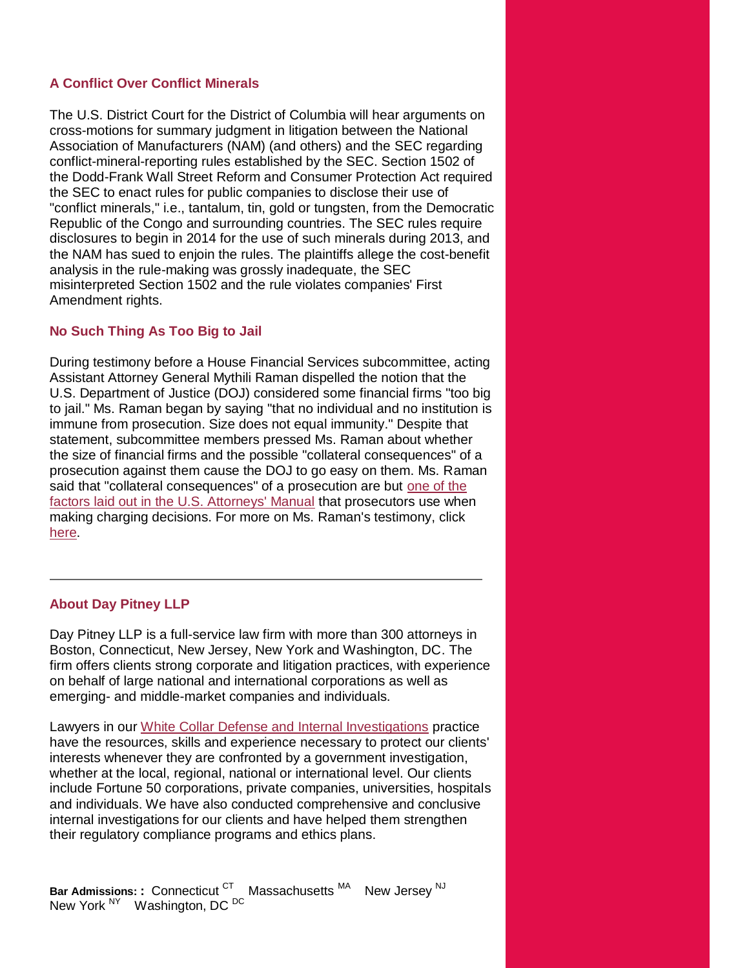#### **A Conflict Over Conflict Minerals**

The U.S. District Court for the District of Columbia will hear arguments on cross-motions for summary judgment in litigation between the National Association of Manufacturers (NAM) (and others) and the SEC regarding conflict-mineral-reporting rules established by the SEC. Section 1502 of the Dodd-Frank Wall Street Reform and Consumer Protection Act required the SEC to enact rules for public companies to disclose their use of "conflict minerals," i.e., tantalum, tin, gold or tungsten, from the Democratic Republic of the Congo and surrounding countries. The SEC rules require disclosures to begin in 2014 for the use of such minerals during 2013, and the NAM has sued to enjoin the rules. The plaintiffs allege the cost-benefit analysis in the rule-making was grossly inadequate, the SEC misinterpreted Section 1502 and the rule violates companies' First Amendment rights.

#### **No Such Thing As Too Big to Jail**

During testimony before a House Financial Services subcommittee, acting Assistant Attorney General Mythili Raman dispelled the notion that the U.S. Department of Justice (DOJ) considered some financial firms "too big to jail." Ms. Raman began by saying "that no individual and no institution is immune from prosecution. Size does not equal immunity." Despite that statement, subcommittee members pressed Ms. Raman about whether the size of financial firms and the possible "collateral consequences" of a prosecution against them cause the DOJ to go easy on them. Ms. Raman said that "collateral consequences" of a prosecution are but [one of the](http://www.justice.gov/usao/eousa/foia_reading_room/usam/title9/28mcrm.htm#9-28.300)  [factors laid out in the U.S. Attorneys' Manual](http://www.justice.gov/usao/eousa/foia_reading_room/usam/title9/28mcrm.htm#9-28.300) that prosecutors use when making charging decisions. For more on Ms. Raman's testimony, click [here.](http://www.mainjustice.com/2013/05/23/too-big-to-jail-isnt-accurate-acting-doj-criminal-chief-testifies/)

#### **About Day Pitney LLP**

Day Pitney LLP is a full-service law firm with more than 300 attorneys in Boston, Connecticut, New Jersey, New York and Washington, DC. The firm offers clients strong corporate and litigation practices, with experience on behalf of large national and international corporations as well as emerging- and middle-market companies and individuals.

Lawyers in our [White Collar Defense and Internal Investigations](http://www.daypitney.com/practices/practice-detail.aspx?pid=40) practice have the resources, skills and experience necessary to protect our clients' interests whenever they are confronted by a government investigation, whether at the local, regional, national or international level. Our clients include Fortune 50 corporations, private companies, universities, hospitals and individuals. We have also conducted comprehensive and conclusive internal investigations for our clients and have helped them strengthen their regulatory compliance programs and ethics plans.

**Bar Admissions: : Connecticut <sup>CT</sup> Massachusetts <sup>MA</sup>** New Jersey<sup>NJ</sup> New York <sup>NY</sup> Washington, DC <sup>DC</sup>